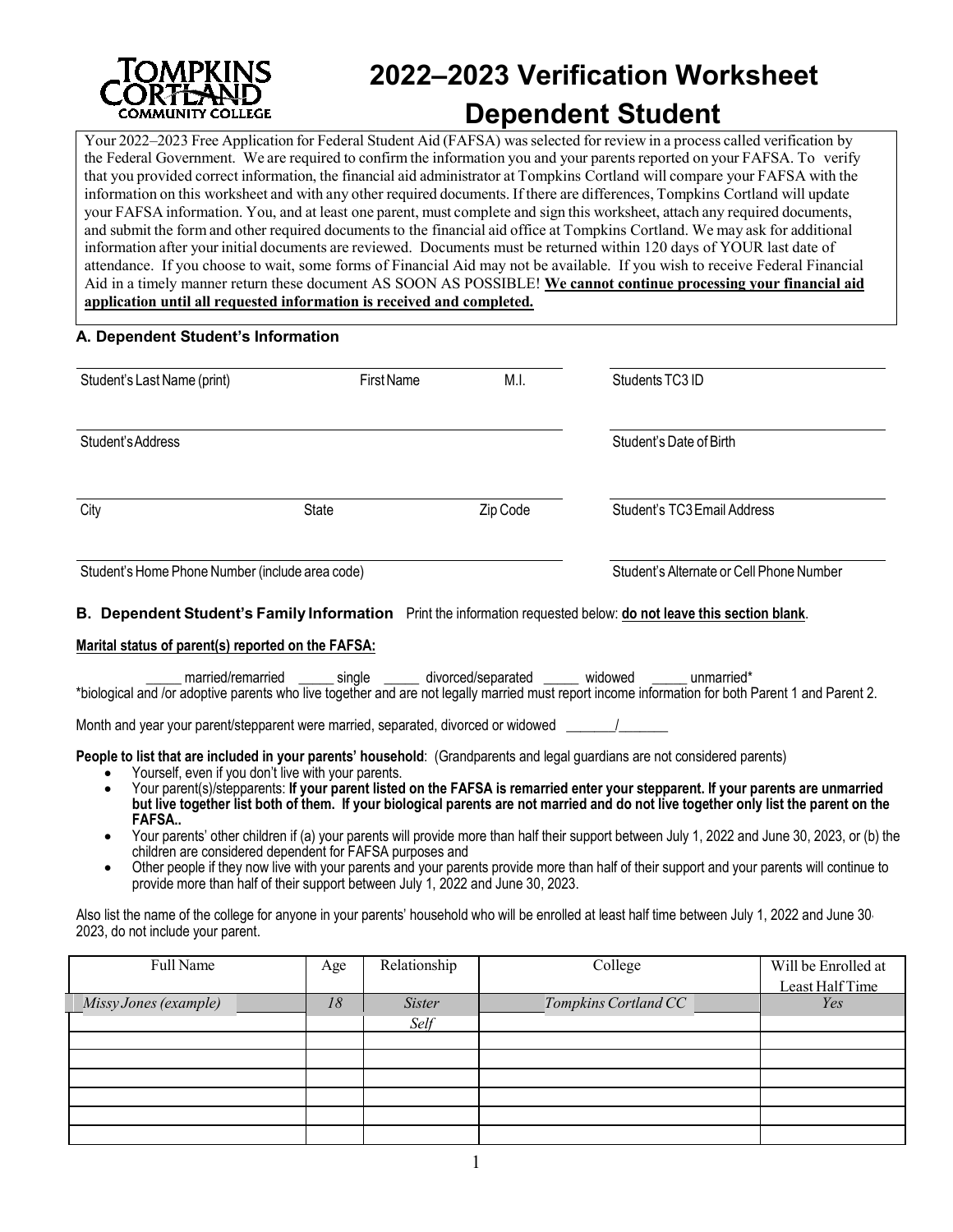

# **2022–2023 Verification Worksheet Dependent Student**

Your 2022–2023 Free Application for Federal Student Aid (FAFSA) wasselected for review in a process called verification by the Federal Government. We are required to confirm the information you and your parentsreported on your FAFSA. To verify that you provided correct information, the financial aid administrator at Tompkins Cortland will compare your FAFSA with the information on this worksheet and with any other required documents. If there are differences, Tompkins Cortland will update your FAFSA information. You, and at least one parent, must complete and sign this worksheet, attach any required documents, and submit the form and other required documents to the financial aid office at Tompkins Cortland. We may ask for additional information after your initial documents are reviewed. Documents must be returned within 120 days of YOUR last date of attendance. If you choose to wait, some forms of Financial Aid may not be available. If you wish to receive Federal Financial Aid in a timely manner return these document AS SOON AS POSSIBLE! **We cannot continue processing your financial aid application until all requested information is received and completed.**

### **A. Dependent Student's Information**

| Student's Last Name (print)                     | <b>First Name</b> | M.I.     | Students TC3 ID                          |
|-------------------------------------------------|-------------------|----------|------------------------------------------|
| Student's Address                               |                   |          | Student's Date of Birth                  |
| City                                            | State             | Zip Code | Student's TC3 Email Address              |
| Student's Home Phone Number (include area code) |                   |          | Student's Alternate or Cell Phone Number |

### **B. Dependent Student's Family Information** Print the information requested below: **do not leave this section blank**.

#### **Marital status of parent(s) reported on the FAFSA:**

married/remarried single divorced/separated widowed unmarried\* \*biological and /or adoptive parents who live together and are not legally married must report income information for both Parent 1 and Parent 2.

Month and year your parent/stepparent were married, separated, divorced or widowed

**People to list that are included in your parents' household**: (Grandparents and legal guardians are not considered parents)

- Yourself, even if you don't live with your parents.
- Your parent(s)/stepparents: **If your parent listed on the FAFSA is remarried enter your stepparent. If your parents are unmarried but live together list both of them. If your biological parents are not married and do not live together only list the parent on the FAFSA..**
- Your parents' other children if (a) your parents will provide more than half their support between July 1, 2022 and June 30, 2023, or (b) the children are considered dependent for FAFSA purposes and
- Other people if they now live with your parents and your parents provide more than half of their support and your parents will continue to provide more than half of their support between July 1, 2022 and June 30, 2023.

Also list the name of the college for anyone in your parents' household who will be enrolled at least half time between July 1, 2022 and June 30, 2023, do not include your parent.

| Full Name             | Age | Relationship  | College              | Will be Enrolled at |
|-----------------------|-----|---------------|----------------------|---------------------|
|                       |     |               |                      | Least Half Time     |
| Missy Jones (example) | 18  | <i>Sister</i> | Tompkins Cortland CC | Yes                 |
|                       |     | Self          |                      |                     |
|                       |     |               |                      |                     |
|                       |     |               |                      |                     |
|                       |     |               |                      |                     |
|                       |     |               |                      |                     |
|                       |     |               |                      |                     |
|                       |     |               |                      |                     |